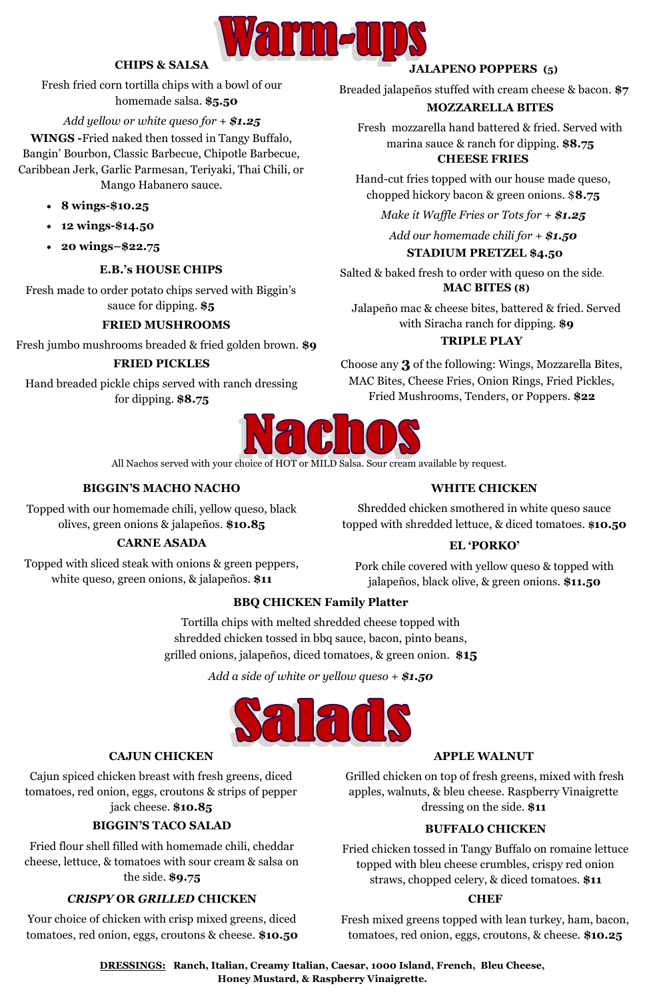### **E.B.'s HOUSE CHIPS**

Fresh made to order potato chips served with Biggin's sauce for dipping. **\$5**



# **CHIPS & SALSA**

Fresh fried corn tortilla chips with a bowl of our homemade salsa. **\$5.50**

*Add yellow or white queso for + \$1.25*

### **FRIED MUSHROOMS**

Fresh jumbo mushrooms breaded & fried golden brown. **\$9** 

### **FRIED PICKLES**

**CHEESE FRIES**  Fresh mozzarella hand battered & fried. Served with marina sauce & ranch for dipping. **\$8.75** 

Hand breaded pickle chips served with ranch dressing for dipping. **\$8.75**

**WINGS -**Fried naked then tossed in Tangy Buffalo, Bangin' Bourbon, Classic Barbecue, Chipotle Barbecue, Caribbean Jerk, Garlic Parmesan, Teriyaki, Thai Chili, or Mango Habanero sauce.

- **8 wings-\$10.25**
- **12 wings-\$14.50**
- **20 wings–\$22.75**

Hand-cut fries topped with our house made queso, chopped hickory bacon & green onions. \$**8.75**

*Make it Waffle Fries or Tots for + \$1.25*

*Add our homemade chili for + \$1.50*

### **TRIPLE PLAY**

Choose any **3** of the f0llowing: Wings, Mozzarella Bites, MAC Bites, Cheese Fries, Onion Rings, Fried Pickles, Fried Mushrooms, Tenders, 0r Poppers. **\$22**



### **JALAPENO POPPERS (5)**

Breaded jalapeños stuffed with cream cheese & bacon. **\$7**

### **STADIUM PRETZEL \$4.50**

Salted & baked fresh to order with queso on the side. **MAC BITES (8)**

Jalapeño mac & cheese bites, battered & fried. Served with Siracha ranch for dipping. **\$9**

### **MOZZARELLA BITES**

# **BIGGIN'S MACHO NACHO**

Topped with our homemade chili, yellow queso, black olives, green onions & jalapeños. **\$10.85**

### **WHITE CHICKEN**

Shredded chicken smothered in white queso sauce topped with shredded lettuce, & diced tomatoes. **\$10.50**

### **EL 'PORKO'**

Pork chile covered with yellow queso & topped with jalapeños, black olive, & green onions. **\$11.50**

### **CARNE ASADA**

Topped with sliced steak with onions & green peppers, white queso, green onions, & jalapeños. **\$11**

Fried flour shell filled with homemade chili, cheddar cheese, lettuce, & tomatoes with sour cream & salsa on the side. **\$9.75**

### **BIGGIN'S TACO SALAD** Cajun spiced chicken breast with fresh greens, diced tomatoes, red onion, eggs, croutons & strips of pepper jack cheese. **\$10.85**

#### **CAJUN CHICKEN**

#### *CRISPY* **OR** *GRILLED* **CHICKEN**

Your choice of chicken with crisp mixed greens, diced tomatoes, red onion, eggs, croutons & cheese. **\$10.50**

#### **APPLE WALNUT**

Grilled chicken on top of fresh greens, mixed with fresh apples, walnuts, & bleu cheese. Raspberry Vinaigrette dressing on the side. **\$11**

#### **CHEF**

Fresh mixed greens topped with lean turkey, ham, bacon, tomatoes, red onion, eggs, croutons, & cheese. **\$10.25**

### **BUFFALO CHICKEN**

Fried chicken tossed in Tangy Buffalo on romaine lettuce topped with bleu cheese crumbles, crispy red onion straws, chopped celery, & diced tomatoes. **\$11**

**DRESSINGS: Ranch, Italian, Creamy Italian, Caesar, 1000 Island, French, Bleu Cheese, Honey Mustard, & Raspberry Vinaigrette.**

# **BBQ CHICKEN Family Platter**

Tortilla chips with melted shredded cheese topped with shredded chicken tossed in bbq sauce, bacon, pinto beans, grilled onions, jalapeños, diced tomatoes, & green onion. **\$15**

*Add a side of white or yellow queso + \$1.50*





All Nachos served with your choice of HOT or MILD Salsa. Sour cream available by request.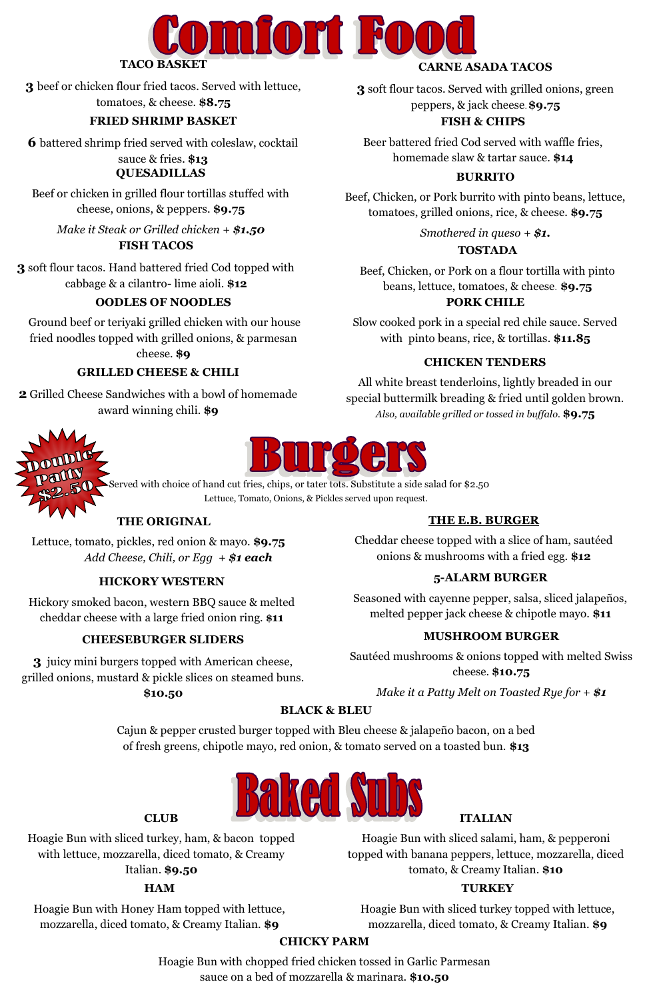

**3** beef or chicken flour fried tacos. Served with lettuce,

tomatoes, & cheese. **\$8.75**

### **CARNE ASADA TACOS**

**3** soft flour tacos. Served with grilled onions, green peppers, & jack cheese. **\$9.75**

# **FISH TACOS**

**3** soft flour tacos. Hand battered fried Cod topped with cabbage & a cilantro- lime aioli. **\$12**

### **BURRITO**

Beef, Chicken, or Pork burrito with pinto beans, lettuce, tomatoes, grilled onions, rice, & cheese. **\$9.75**

*Smothered in queso + \$1.*

### **TOSTADA**

Beef, Chicken, or Pork on a flour tortilla with pinto beans, lettuce, tomatoes, & cheese. **\$9.75**

Beef or chicken in grilled flour tortillas stuffed with cheese, onions, & peppers. **\$9.75**

*Make it Steak or Grilled chicken + \$1.50*

#### **PORK CHILE**

Slow cooked pork in a special red chile sauce. Served with pinto beans, rice, & tortillas. **\$11.85**

### **CHICKEN TENDERS**

**QUESADILLAS 6** battered shrimp fried served with coleslaw, cocktail sauce & fries. **\$13**

> All white breast tenderloins, lightly breaded in our special buttermilk breading & fried until golden brown. *Also, available grilled or tossed in buffalo.* **\$9.75**



#### **FISH & CHIPS**

Beer battered fried Cod served with waffle fries, homemade slaw & tartar sauce. **\$14**

### **FRIED SHRIMP BASKET**

### **OODLES OF NOODLES**

Ground beef or teriyaki grilled chicken with our house fried noodles topped with grilled onions, & parmesan cheese. **\$9**

### **THE ORIGINAL**

Lettuce, tomato, pickles, red onion & mayo. **\$9.75** *Add Cheese, Chili, or Egg + \$1 each*

### **HICKORY WESTERN**

Hickory smoked bacon, western BBQ sauce & melted cheddar cheese with a large fried onion ring. **\$11**

### **MUSHROOM BURGER**

Sautéed mushrooms & onions topped with melted Swiss cheese. **\$10.75**

*Make it a Patty Melt on Toasted Rye for + \$1* 

### **THE E.B. BURGER**

Cheddar cheese topped with a slice of ham, sautéed onions & mushrooms with a fried egg. **\$12**

### **5-ALARM BURGER**

Seasoned with cayenne pepper, salsa, sliced jalapeños, melted pepper jack cheese & chipotle mayo. **\$11**

### **BLACK & BLEU**

Served with choice of hand cut fries, chips, or tater tots. Substitute a side salad for \$2.50 Lettuce, Tomato, Onions, & Pickles served upon request.

Cajun & pepper crusted burger topped with Bleu cheese & jalapeño bacon, on a bed of fresh greens, chipotle mayo, red onion, & tomato served on a toasted bun. **\$13**



### **CHEESEBURGER SLIDERS**

**3** juicy mini burgers topped with American cheese, grilled onions, mustard & pickle slices on steamed buns.

**\$10.50**

#### **HAM**

Hoagie Bun with Honey Ham topped with lettuce, mozzarella, diced tomato, & Creamy Italian. **\$9**

#### **TURKEY**

Hoagie Bun with sliced turkey topped with lettuce, mozzarella, diced tomato, & Creamy Italian. **\$9**

#### **CLUB**

Hoagie Bun with sliced turkey, ham, & bacon topped with lettuce, mozzarella, diced tomato, & Creamy

Italian. **\$9.50** 

#### **ITALIAN**

Hoagie Bun with sliced salami, ham, & pepperoni topped with banana peppers, lettuce, mozzarella, diced tomato, & Creamy Italian. **\$10**

#### **CHICKY PARM**

Hoagie Bun with chopped fried chicken tossed in Garlic Parmesan sauce on a bed of mozzarella & marinara. **\$10.50**

### **GRILLED CHEESE & CHILI**

**2** Grilled Cheese Sandwiches with a bowl of homemade award winning chili. **\$9**